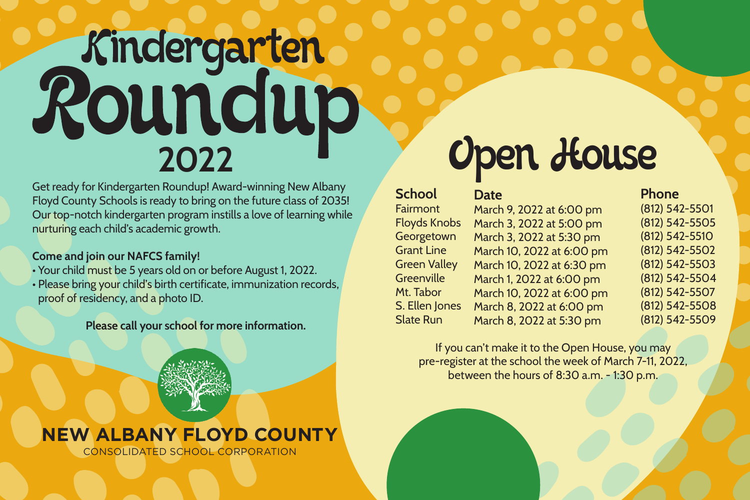# **2022** Roundup<br>2022<br>2022<br>*Poundup*<br>2022

Get ready for Kindergarten Roundup! Award-winning New Albany Floyd County Schools is ready to bring on the future class of 2035! Our top-notch kindergarten program instills a love of learning while nurturing each child's academic growth.

# **Come and join our NAFCS family!**

- Your child must be 5 years old on or before August 1, 2022.
- Please bring your child's birth certificate, immunization records, proof of residency, and a photo ID.

## **Please call your school for more information.**

# **NEW ALBANY FLOYD COUNTY**

CONSOLIDATED SCHOOL CORPORATION

**School** Fairmont Floyds Knobs **Georgetown** Grant Line Green Valley **Greenville** Mt. Tabor S. Ellen Jones Slate Run

March 9, 2022 at 6:00 pm March 3, 2022 at 5:00 pm March 3, 2022 at 5:30 pm March 10, 2022 at 6:00 pm March 10, 2022 at 6:30 pm March 1, 2022 at 6:00 pm March 10, 2022 at 6:00 pm March 8, 2022 at 6:00 pm March 8, 2022 at 5:30 pm

**Date**

# **Phone**

(812) 542-5501 (812) 542-5505 (812) 542-5510 (812) 542-5502 (812) 542-5503 (812) 542-5504 (812) 542-5507 (812) 542-5508 (812) 542-5509

If you can't make it to the Open House, you may pre-register at the school the week of March 7-11, 2022, between the hours of 8:30 a.m. - 1:30 p.m.